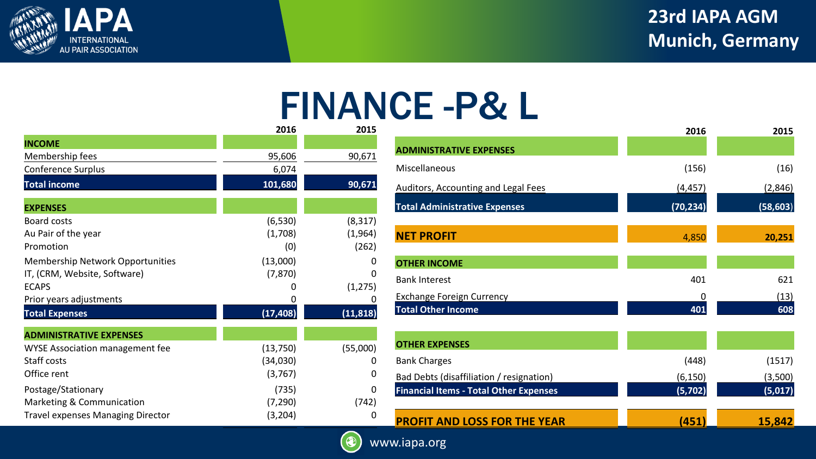

## 22nd IAPA AGM **23rd IAPA AGM Munich, Germany**

## FINANCE -P& L

|                                          | 2016      | 2015      |
|------------------------------------------|-----------|-----------|
| <b>INCOME</b>                            |           |           |
| Membership fees                          | 95,606    | 90,671    |
| Conference Surplus                       | 6,074     |           |
| <b>Total income</b>                      | 101,680   | 90,671    |
| <b>EXPENSES</b>                          |           |           |
| Board costs                              | (6, 530)  | (8, 317)  |
| Au Pair of the year                      | (1,708)   | (1,964)   |
| Promotion                                | (0)       | (262)     |
| <b>Membership Network Opportunities</b>  | (13,000)  | O         |
| IT, (CRM, Website, Software)             | (7, 870)  | O         |
| <b>ECAPS</b>                             | 0         | (1,275)   |
| Prior years adjustments                  | 0         |           |
| <b>Total Expenses</b>                    | (17, 408) | (11, 818) |
| <b>ADMINISTRATIVE EXPENSES</b>           |           |           |
| <b>WYSE Association management fee</b>   | (13,750)  | (55,000)  |
| Staff costs                              | (34,030)  | 0         |
| Office rent                              | (3,767)   | 0         |
| Postage/Stationary                       | (735)     | 0         |
| Marketing & Communication                | (7, 290)  | (742)     |
| <b>Travel expenses Managing Director</b> | (3,204)   | 0         |

|                                               | 2016      | 2015      |
|-----------------------------------------------|-----------|-----------|
| <b>ADMINISTRATIVE EXPENSES</b>                |           |           |
| Miscellaneous                                 | (156)     | (16)      |
| Auditors, Accounting and Legal Fees           | (4,457)   | (2,846)   |
| <b>Total Administrative Expenses</b>          | (70, 234) | (58, 603) |
| <b>NET PROFIT</b>                             | 4,850     | 20,251    |
| <b>OTHER INCOME</b>                           |           |           |
| <b>Bank Interest</b>                          | 401       | 621       |
| <b>Exchange Foreign Currency</b>              | 0         | (13)      |
| <b>Total Other Income</b>                     | 401       | 608       |
| <b>OTHER EXPENSES</b>                         |           |           |
| <b>Bank Charges</b>                           | (448)     | (1517)    |
| Bad Debts (disaffiliation / resignation)      | (6, 150)  | (3,500)   |
| <b>Financial Items - Total Other Expenses</b> | (5,702)   | (5,017)   |
| <b>PROFIT AND LOSS FOR THE YEAR</b>           | 451       | 15,842    |



www.iapa.org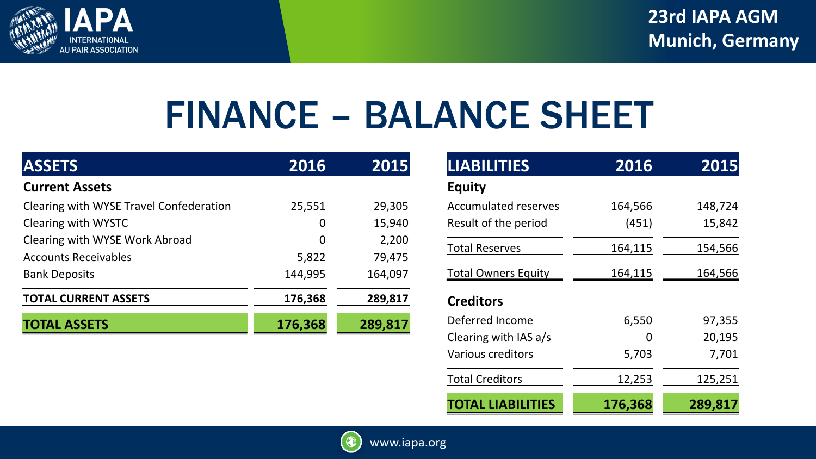

## FINANCE – BALANCE SHEET

| <b>ASSETS</b>                           | 2016    | 2015    |
|-----------------------------------------|---------|---------|
| <b>Current Assets</b>                   |         |         |
| Clearing with WYSE Travel Confederation | 25,551  | 29,305  |
| Clearing with WYSTC                     | O       | 15,940  |
| Clearing with WYSE Work Abroad          | 0       | 2,200   |
| <b>Accounts Receivables</b>             | 5,822   | 79,475  |
| <b>Bank Deposits</b>                    | 144,995 | 164,097 |
| <b>TOTAL CURRENT ASSETS</b>             | 176,368 | 289,817 |
| <b>TOTAL ASSETS</b>                     | 176,368 | 289,817 |

| <b>LIABILITIES</b>          | 2016    | 2015           |
|-----------------------------|---------|----------------|
| <b>Equity</b>               |         |                |
| <b>Accumulated reserves</b> | 164,566 | 148,724        |
| Result of the period        | (451)   | 15,842         |
| <b>Total Reserves</b>       | 164,115 | 154,566        |
| <b>Total Owners Equity</b>  | 164,115 | <u>164,566</u> |
| <b>Creditors</b>            |         |                |
| Deferred Income             | 6,550   | 97,355         |
| Clearing with IAS a/s       | O       | 20,195         |
| Various creditors           | 5,703   | 7,701          |
| <b>Total Creditors</b>      | 12,253  | 125,251        |
| <b>TOTAL LIABILITIES</b>    | 176,368 | 289,817        |